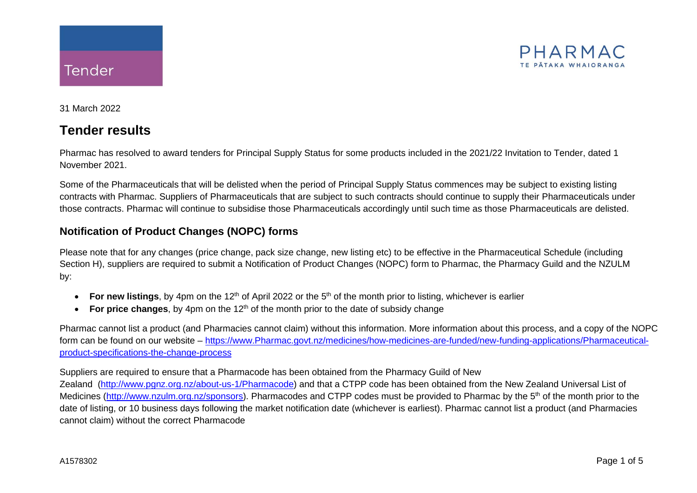

31 March 2022

## **Tender results**

Pharmac has resolved to award tenders for Principal Supply Status for some products included in the 2021/22 Invitation to Tender, dated 1 November 2021.

Some of the Pharmaceuticals that will be delisted when the period of Principal Supply Status commences may be subject to existing listing contracts with Pharmac. Suppliers of Pharmaceuticals that are subject to such contracts should continue to supply their Pharmaceuticals under those contracts. Pharmac will continue to subsidise those Pharmaceuticals accordingly until such time as those Pharmaceuticals are delisted.

## **Notification of Product Changes (NOPC) forms**

Please note that for any changes (price change, pack size change, new listing etc) to be effective in the Pharmaceutical Schedule (including Section H), suppliers are required to submit a Notification of Product Changes (NOPC) form to Pharmac, the Pharmacy Guild and the NZULM by:

- For new listings, by 4pm on the 12<sup>th</sup> of April 2022 or the 5<sup>th</sup> of the month prior to listing, whichever is earlier
- **For price changes**, by 4pm on the  $12<sup>th</sup>$  of the month prior to the date of subsidy change

Pharmac cannot list a product (and Pharmacies cannot claim) without this information. More information about this process, and a copy of the NOPC form can be found on our website – [https://www.Pharmac.govt.nz/medicines/how-medicines-are-funded/new-funding-applications/Pharmaceutical](https://www.pharmac.govt.nz/medicines/how-medicines-are-funded/new-funding-applications/pharmaceutical-product-specifications-the-change-process)[product-specifications-the-change-process](https://www.pharmac.govt.nz/medicines/how-medicines-are-funded/new-funding-applications/pharmaceutical-product-specifications-the-change-process)

#### Suppliers are required to ensure that a Pharmacode has been obtained from the Pharmacy Guild of New

Zealand [\(http://www.pgnz.org.nz/about-us-1/Pharmacode\)](http://www.pgnz.org.nz/about-us-1/pharmacode) and that a CTPP code has been obtained from the New Zealand Universal List of Medicines [\(http://www.nzulm.org.nz/sponsors\)](http://www.nzulm.org.nz/sponsors). Pharmacodes and CTPP codes must be provided to Pharmac by the 5<sup>th</sup> of the month prior to the date of listing, or 10 business days following the market notification date (whichever is earliest). Pharmac cannot list a product (and Pharmacies cannot claim) without the correct Pharmacode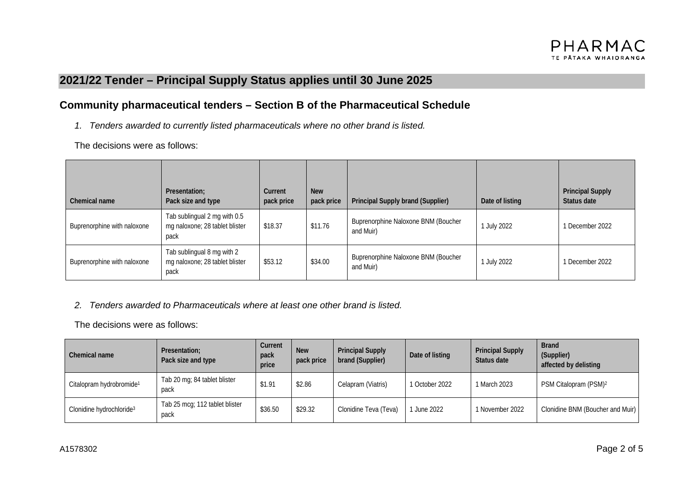# **2021/22 Tender – Principal Supply Status applies until 30 June 2025**

### **Community pharmaceutical tenders – Section B of the Pharmaceutical Schedule**

*1. Tenders awarded to currently listed pharmaceuticals where no other brand is listed.*

The decisions were as follows:

| Chemical name               | Presentation;<br>Pack size and type                                    | Current<br>pack price | <b>New</b><br>pack price | Principal Supply brand (Supplier)                | Date of listing | <b>Principal Supply</b><br>Status date |
|-----------------------------|------------------------------------------------------------------------|-----------------------|--------------------------|--------------------------------------------------|-----------------|----------------------------------------|
| Buprenorphine with naloxone | Tab sublingual 2 mg with 0.5<br>mg naloxone; 28 tablet blister<br>pack | \$18.37               | \$11.76                  | Buprenorphine Naloxone BNM (Boucher<br>and Muir) | July 2022       | 1 December 2022                        |
| Buprenorphine with naloxone | Tab sublingual 8 mg with 2<br>mg naloxone; 28 tablet blister<br>pack   | \$53.12               | \$34.00                  | Buprenorphine Naloxone BNM (Boucher<br>and Muir) | July 2022       | 1 December 2022                        |

#### *2. Tenders awarded to Pharmaceuticals where at least one other brand is listed.*

The decisions were as follows:

| Chemical name                        | Presentation:<br>Pack size and type    | Current<br>pack<br>price | <b>New</b><br>pack price | <b>Principal Supply</b><br>brand (Supplier) | Date of listing | <b>Principal Supply</b><br>Status date | <b>Brand</b><br>(Supplier)<br>affected by delisting |
|--------------------------------------|----------------------------------------|--------------------------|--------------------------|---------------------------------------------|-----------------|----------------------------------------|-----------------------------------------------------|
| Citalopram hydrobromide <sup>1</sup> | Tab 20 mg; 84 tablet blister<br>pack   | \$1.91                   | \$2.86                   | Celapram (Viatris)                          | 1 October 2022  | 1 March 2023                           | PSM Citalopram (PSM) <sup>2</sup>                   |
| Clonidine hydrochloride <sup>3</sup> | Tab 25 mcg; 112 tablet blister<br>pack | \$36.50                  | \$29.32                  | Clonidine Teva (Teva)                       | June 2022       | 1 November 2022                        | Clonidine BNM (Boucher and Muir)                    |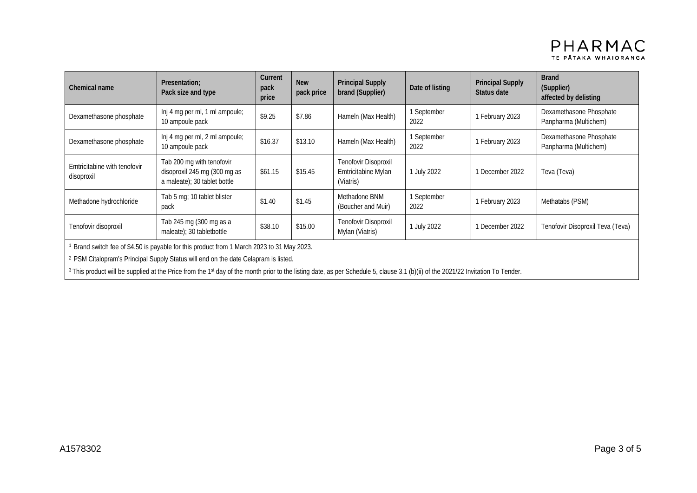| Chemical name                                                                                         | Presentation;<br>Pack size and type                                                       | Current<br>pack<br>price | <b>New</b><br>pack price | <b>Principal Supply</b><br>brand (Supplier)              | Date of listing     | <b>Principal Supply</b><br>Status date | <b>Brand</b><br>(Supplier)<br>affected by delisting |  |
|-------------------------------------------------------------------------------------------------------|-------------------------------------------------------------------------------------------|--------------------------|--------------------------|----------------------------------------------------------|---------------------|----------------------------------------|-----------------------------------------------------|--|
| Dexamethasone phosphate                                                                               | Inj 4 mg per ml, 1 ml ampoule;<br>10 ampoule pack                                         | \$9.25                   | \$7.86                   | Hameln (Max Health)                                      | 1 September<br>2022 | 1 February 2023                        | Dexamethasone Phosphate<br>Panpharma (Multichem)    |  |
| Dexamethasone phosphate                                                                               | Inj 4 mg per ml, 2 ml ampoule;<br>10 ampoule pack                                         | \$16.37                  | \$13.10                  | Hameln (Max Health)                                      | 1 September<br>2022 | 1 February 2023                        | Dexamethasone Phosphate<br>Panpharma (Multichem)    |  |
| Emtricitabine with tenofovir<br>disoproxil                                                            | Tab 200 mg with tenofovir<br>disoproxil 245 mg (300 mg as<br>a maleate); 30 tablet bottle | \$61.15                  | \$15.45                  | Tenofovir Disoproxil<br>Emtricitabine Mylan<br>(Viatris) | 1 July 2022         | 1 December 2022                        | Teva (Teva)                                         |  |
| Methadone hydrochloride                                                                               | Tab 5 mg; 10 tablet blister<br>pack                                                       | \$1.40                   | \$1.45                   | Methadone BNM<br>(Boucher and Muir)                      | 1 September<br>2022 | 1 February 2023                        | Methatabs (PSM)                                     |  |
| Tenofovir disoproxil                                                                                  | Tab 245 mg (300 mg as a<br>maleate); 30 tabletbottle                                      | \$38.10                  | \$15.00                  | Tenofovir Disoproxil<br>Mylan (Viatris)                  | 1 July 2022         | 1 December 2022                        | Tenofovir Disoproxil Teva (Teva)                    |  |
| <sup>1</sup> Brand switch fee of \$4.50 is payable for this product from 1 March 2023 to 31 May 2023. |                                                                                           |                          |                          |                                                          |                     |                                        |                                                     |  |

<sup>2</sup> PSM Citalopram's Principal Supply Status will end on the date Celapram is listed.

<sup>3</sup> This product will be supplied at the Price from the 1<sup>st</sup> day of the month prior to the listing date, as per Schedule 5, clause 3.1 (b)(ii) of the 2021/22 Invitation To Tender.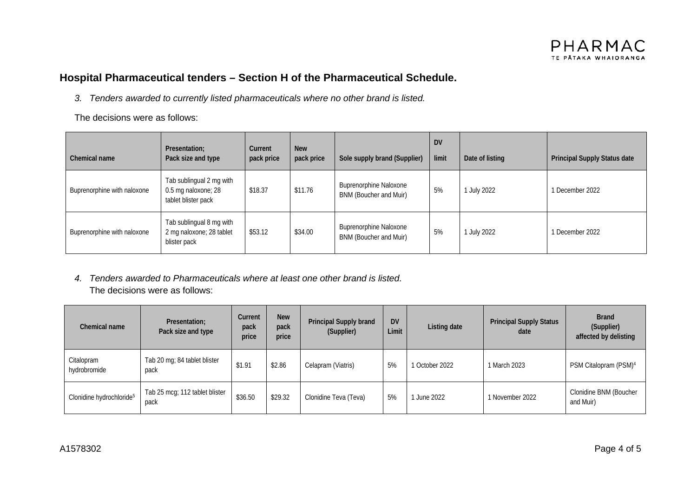### **Hospital Pharmaceutical tenders – Section H of the Pharmaceutical Schedule.**

*3. Tenders awarded to currently listed pharmaceuticals where no other brand is listed.*

The decisions were as follows:

| Chemical name               | Presentation;<br>Pack size and type                                    | Current<br>pack price | <b>New</b><br>pack price | Sole supply brand (Supplier)                            | <b>DV</b><br>limit | Date of listing | Principal Supply Status date |
|-----------------------------|------------------------------------------------------------------------|-----------------------|--------------------------|---------------------------------------------------------|--------------------|-----------------|------------------------------|
| Buprenorphine with naloxone | Tab sublingual 2 mg with<br>0.5 mg naloxone; 28<br>tablet blister pack | \$18.37               | \$11.76                  | <b>Buprenorphine Naloxone</b><br>BNM (Boucher and Muir) | 5%                 | July 2022       | 1 December 2022              |
| Buprenorphine with naloxone | Tab sublingual 8 mg with<br>2 mg naloxone; 28 tablet<br>blister pack   | \$53.12               | \$34.00                  | <b>Buprenorphine Naloxone</b><br>BNM (Boucher and Muir) | 5%                 | July 2022       | 1 December 2022              |

*4. Tenders awarded to Pharmaceuticals where at least one other brand is listed.* The decisions were as follows:

| Chemical name                        | Presentation;<br>Pack size and type    | Current<br>pack<br>price | <b>New</b><br>pack<br>price | Principal Supply brand<br>(Supplier) | <b>DV</b><br>Limit | Listing date   | <b>Principal Supply Status</b><br>date | <b>Brand</b><br>(Supplier)<br>affected by delisting |
|--------------------------------------|----------------------------------------|--------------------------|-----------------------------|--------------------------------------|--------------------|----------------|----------------------------------------|-----------------------------------------------------|
| Citalopram<br>hydrobromide           | Tab 20 mg; 84 tablet blister<br>pack   | \$1.91                   | \$2.86                      | Celapram (Viatris)                   | 5%                 | 1 October 2022 | 1 March 2023                           | PSM Citalopram (PSM) <sup>4</sup>                   |
| Clonidine hydrochloride <sup>5</sup> | Tab 25 mcg; 112 tablet blister<br>pack | \$36.50                  | \$29.32                     | Clonidine Teva (Teva)                | 5%                 | June 2022      | 1 November 2022                        | Clonidine BNM (Boucher<br>and Muir)                 |